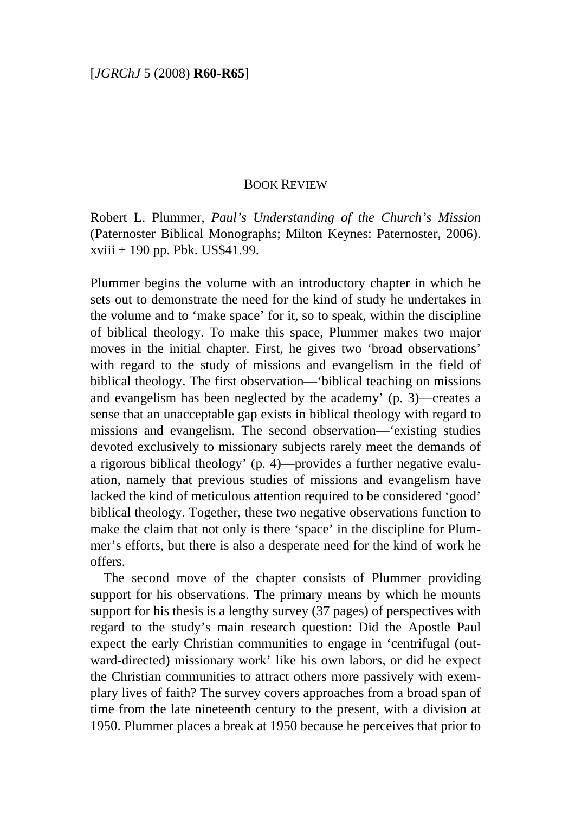## BOOK REVIEW

Robert L. Plummer, *Paul's Understanding of the Church's Mission* (Paternoster Biblical Monographs; Milton Keynes: Paternoster, 2006). xviii + 190 pp. Pbk. US\$41.99.

Plummer begins the volume with an introductory chapter in which he sets out to demonstrate the need for the kind of study he undertakes in the volume and to 'make space' for it, so to speak, within the discipline of biblical theology. To make this space, Plummer makes two major moves in the initial chapter. First, he gives two 'broad observations' with regard to the study of missions and evangelism in the field of biblical theology. The first observation—'biblical teaching on missions and evangelism has been neglected by the academy' (p. 3)—creates a sense that an unacceptable gap exists in biblical theology with regard to missions and evangelism. The second observation—'existing studies devoted exclusively to missionary subjects rarely meet the demands of a rigorous biblical theology' (p. 4)—provides a further negative evaluation, namely that previous studies of missions and evangelism have lacked the kind of meticulous attention required to be considered 'good' biblical theology. Together, these two negative observations function to make the claim that not only is there 'space' in the discipline for Plummer's efforts, but there is also a desperate need for the kind of work he offers.

The second move of the chapter consists of Plummer providing support for his observations. The primary means by which he mounts support for his thesis is a lengthy survey (37 pages) of perspectives with regard to the study's main research question: Did the Apostle Paul expect the early Christian communities to engage in 'centrifugal (outward-directed) missionary work' like his own labors, or did he expect the Christian communities to attract others more passively with exemplary lives of faith? The survey covers approaches from a broad span of time from the late nineteenth century to the present, with a division at 1950. Plummer places a break at 1950 because he perceives that prior to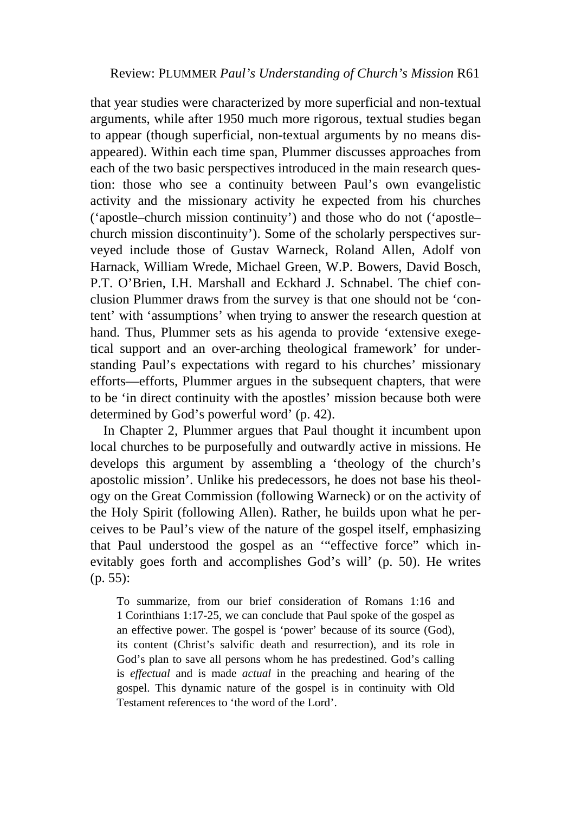that year studies were characterized by more superficial and non-textual arguments, while after 1950 much more rigorous, textual studies began to appear (though superficial, non-textual arguments by no means disappeared). Within each time span, Plummer discusses approaches from each of the two basic perspectives introduced in the main research question: those who see a continuity between Paul's own evangelistic activity and the missionary activity he expected from his churches ('apostle–church mission continuity') and those who do not ('apostle– church mission discontinuity'). Some of the scholarly perspectives surveyed include those of Gustav Warneck, Roland Allen, Adolf von Harnack, William Wrede, Michael Green, W.P. Bowers, David Bosch, P.T. O'Brien, I.H. Marshall and Eckhard J. Schnabel. The chief conclusion Plummer draws from the survey is that one should not be 'content' with 'assumptions' when trying to answer the research question at hand. Thus, Plummer sets as his agenda to provide 'extensive exegetical support and an over-arching theological framework' for understanding Paul's expectations with regard to his churches' missionary efforts—efforts, Plummer argues in the subsequent chapters, that were to be 'in direct continuity with the apostles' mission because both were determined by God's powerful word' (p. 42).

In Chapter 2, Plummer argues that Paul thought it incumbent upon local churches to be purposefully and outwardly active in missions. He develops this argument by assembling a 'theology of the church's apostolic mission'. Unlike his predecessors, he does not base his theology on the Great Commission (following Warneck) or on the activity of the Holy Spirit (following Allen). Rather, he builds upon what he perceives to be Paul's view of the nature of the gospel itself, emphasizing that Paul understood the gospel as an '"effective force" which inevitably goes forth and accomplishes God's will' (p. 50). He writes (p. 55):

To summarize, from our brief consideration of Romans 1:16 and 1 Corinthians 1:17-25, we can conclude that Paul spoke of the gospel as an effective power. The gospel is 'power' because of its source (God), its content (Christ's salvific death and resurrection), and its role in God's plan to save all persons whom he has predestined. God's calling is *effectual* and is made *actual* in the preaching and hearing of the gospel. This dynamic nature of the gospel is in continuity with Old Testament references to 'the word of the Lord'.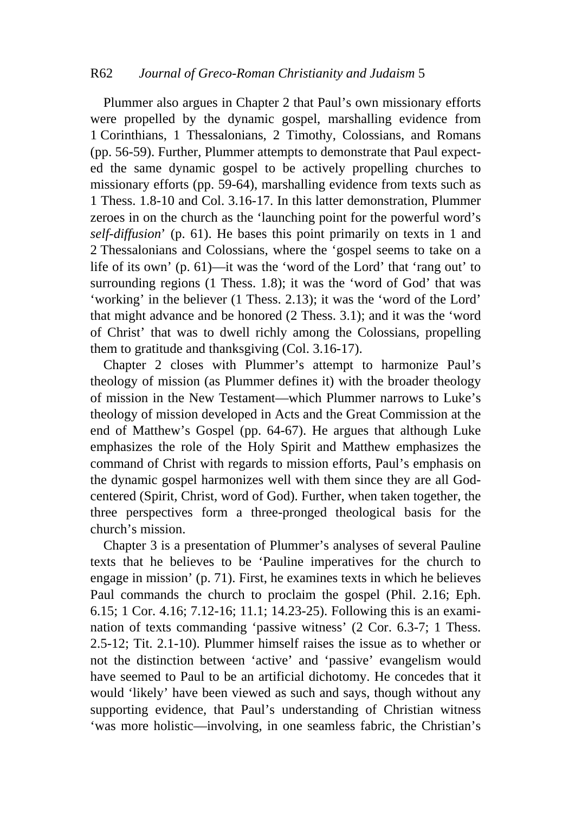## R62 *Journal of Greco-Roman Christianity and Judaism* 5

Plummer also argues in Chapter 2 that Paul's own missionary efforts were propelled by the dynamic gospel, marshalling evidence from 1 Corinthians, 1 Thessalonians, 2 Timothy, Colossians, and Romans (pp. 56-59). Further, Plummer attempts to demonstrate that Paul expected the same dynamic gospel to be actively propelling churches to missionary efforts (pp. 59-64), marshalling evidence from texts such as 1 Thess. 1.8-10 and Col. 3.16-17. In this latter demonstration, Plummer zeroes in on the church as the 'launching point for the powerful word's *self-diffusion*' (p. 61). He bases this point primarily on texts in 1 and 2 Thessalonians and Colossians, where the 'gospel seems to take on a life of its own' (p. 61)—it was the 'word of the Lord' that 'rang out' to surrounding regions (1 Thess. 1.8); it was the 'word of God' that was 'working' in the believer (1 Thess. 2.13); it was the 'word of the Lord' that might advance and be honored (2 Thess. 3.1); and it was the 'word of Christ' that was to dwell richly among the Colossians, propelling them to gratitude and thanksgiving (Col. 3.16-17).

Chapter 2 closes with Plummer's attempt to harmonize Paul's theology of mission (as Plummer defines it) with the broader theology of mission in the New Testament—which Plummer narrows to Luke's theology of mission developed in Acts and the Great Commission at the end of Matthew's Gospel (pp. 64-67). He argues that although Luke emphasizes the role of the Holy Spirit and Matthew emphasizes the command of Christ with regards to mission efforts, Paul's emphasis on the dynamic gospel harmonizes well with them since they are all Godcentered (Spirit, Christ, word of God). Further, when taken together, the three perspectives form a three-pronged theological basis for the church's mission.

Chapter 3 is a presentation of Plummer's analyses of several Pauline texts that he believes to be 'Pauline imperatives for the church to engage in mission' (p. 71). First, he examines texts in which he believes Paul commands the church to proclaim the gospel (Phil. 2.16; Eph. 6.15; 1 Cor. 4.16; 7.12-16; 11.1; 14.23-25). Following this is an examination of texts commanding 'passive witness' (2 Cor. 6.3-7; 1 Thess. 2.5-12; Tit. 2.1-10). Plummer himself raises the issue as to whether or not the distinction between 'active' and 'passive' evangelism would have seemed to Paul to be an artificial dichotomy. He concedes that it would 'likely' have been viewed as such and says, though without any supporting evidence, that Paul's understanding of Christian witness 'was more holistic—involving, in one seamless fabric, the Christian's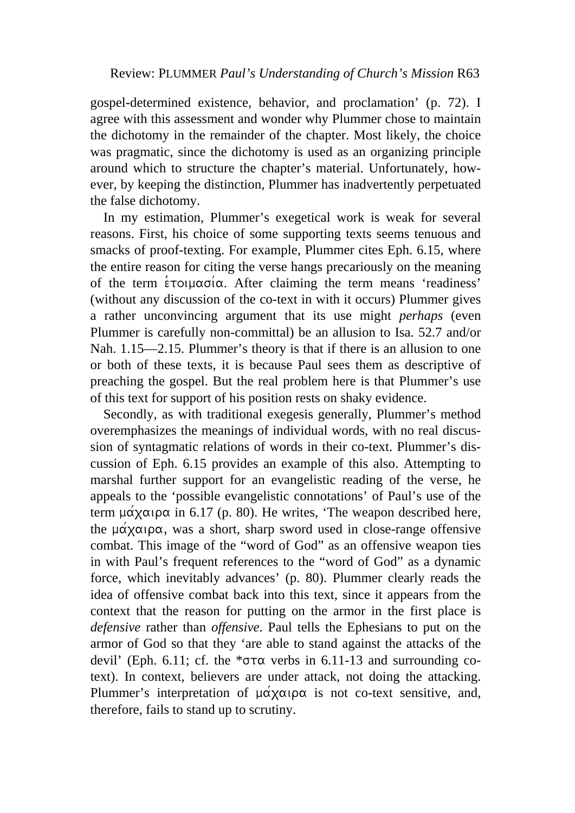gospel-determined existence, behavior, and proclamation' (p. 72). I agree with this assessment and wonder why Plummer chose to maintain the dichotomy in the remainder of the chapter. Most likely, the choice was pragmatic, since the dichotomy is used as an organizing principle around which to structure the chapter's material. Unfortunately, however, by keeping the distinction, Plummer has inadvertently perpetuated the false dichotomy.

In my estimation, Plummer's exegetical work is weak for several reasons. First, his choice of some supporting texts seems tenuous and smacks of proof-texting. For example, Plummer cites Eph. 6.15, where the entire reason for citing the verse hangs precariously on the meaning of the term  $\epsilon$  roll  $\alpha$  and  $\alpha$ . After claiming the term means 'readiness' (without any discussion of the co-text in with it occurs) Plummer gives a rather unconvincing argument that its use might *perhaps* (even Plummer is carefully non-committal) be an allusion to Isa. 52.7 and/or Nah. 1.15—2.15. Plummer's theory is that if there is an allusion to one or both of these texts, it is because Paul sees them as descriptive of preaching the gospel. But the real problem here is that Plummer's use of this text for support of his position rests on shaky evidence.

Secondly, as with traditional exegesis generally, Plummer's method overemphasizes the meanings of individual words, with no real discussion of syntagmatic relations of words in their co-text. Plummer's discussion of Eph. 6.15 provides an example of this also. Attempting to marshal further support for an evangelistic reading of the verse, he appeals to the 'possible evangelistic connotations' of Paul's use of the term  $\mu\alpha\chi\alpha\iota\rho\alpha$  in 6.17 (p. 80). He writes, 'The weapon described here, the  $\mu\acute{\alpha}\chi\alpha\iota\rho\alpha$ , was a short, sharp sword used in close-range offensive combat. This image of the "word of God" as an offensive weapon ties in with Paul's frequent references to the "word of God" as a dynamic force, which inevitably advances' (p. 80). Plummer clearly reads the idea of offensive combat back into this text, since it appears from the context that the reason for putting on the armor in the first place is *defensive* rather than *offensive*. Paul tells the Ephesians to put on the armor of God so that they 'are able to stand against the attacks of the devil' (Eph. 6.11; cf. the  $*\sigma\tau\alpha$  verbs in 6.11-13 and surrounding cotext). In context, believers are under attack, not doing the attacking. Plummer's interpretation of  $\mu \alpha \chi \alpha \rho \alpha$  is not co-text sensitive, and, therefore, fails to stand up to scrutiny.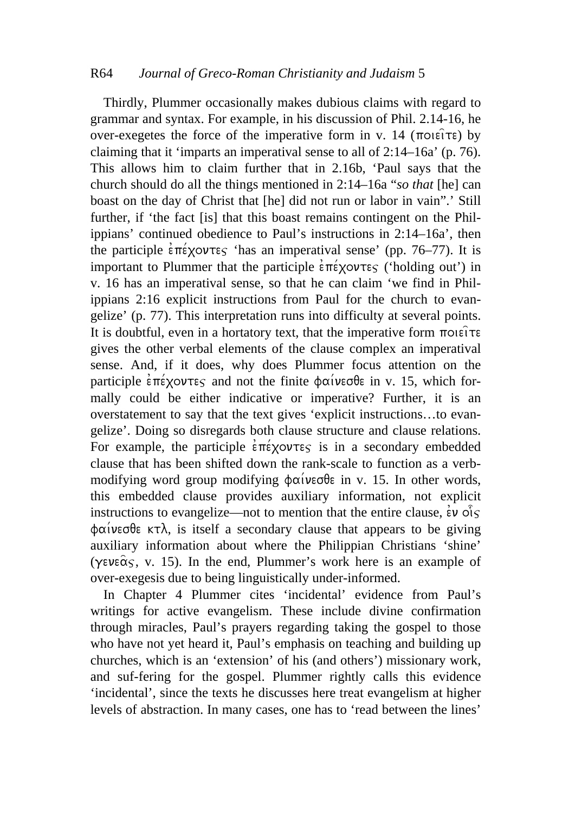## R64 *Journal of Greco-Roman Christianity and Judaism* 5

Thirdly, Plummer occasionally makes dubious claims with regard to grammar and syntax. For example, in his discussion of Phil. 2.14-16, he over-exegetes the force of the imperative form in v. 14 ( $\pi$ oiei $\tau$ e) by claiming that it 'imparts an imperatival sense to all of 2:14–16a' (p. 76). This allows him to claim further that in 2.16b, 'Paul says that the church should do all the things mentioned in 2:14–16a "*so that* [he] can boast on the day of Christ that [he] did not run or labor in vain".' Still further, if 'the fact [is] that this boast remains contingent on the Philippians' continued obedience to Paul's instructions in 2:14–16a', then the participle  $\epsilon \pi \epsilon \times 20$  'has an imperatival sense' (pp. 76–77). It is important to Plummer that the participle  $\epsilon \pi \epsilon \times \text{vortes}$  ('holding out') in v. 16 has an imperatival sense, so that he can claim 'we find in Philippians 2:16 explicit instructions from Paul for the church to evangelize' (p. 77). This interpretation runs into difficulty at several points. It is doubtful, even in a hortatory text, that the imperative form  $\pi$ oiei $\tau$ e gives the other verbal elements of the clause complex an imperatival sense. And, if it does, why does Plummer focus attention on the participle  $\epsilon \pi \epsilon \times \sigma \pi \epsilon$  and not the finite  $\phi \alpha \times \sigma \epsilon$  in v. 15, which formally could be either indicative or imperative? Further, it is an overstatement to say that the text gives 'explicit instructions…to evangelize'. Doing so disregards both clause structure and clause relations. For example, the participle  $\epsilon \pi \epsilon \times \text{yolve}$  is in a secondary embedded clause that has been shifted down the rank-scale to function as a verbmodifying word group modifying  $\phi \alpha \acute{\iota}$ veg $\theta \epsilon$  in v. 15. In other words, this embedded clause provides auxiliary information, not explicit instructions to evangelize—not to mention that the entire clause,  $\epsilon \nu \hat{o} \delta s$ **Figure 1999**  $\phi$ αίνεσθε κτλ, is itself a secondary clause that appears to be giving auxiliary information about where the Philippian Christians 'shine' ( $\gamma \in \alpha$ <sup>c</sup>s, v. 15). In the end, Plummer's work here is an example of over-exegesis due to being linguistically under-informed.

In Chapter 4 Plummer cites 'incidental' evidence from Paul's writings for active evangelism. These include divine confirmation through miracles, Paul's prayers regarding taking the gospel to those who have not yet heard it, Paul's emphasis on teaching and building up churches, which is an 'extension' of his (and others') missionary work, and suf-fering for the gospel. Plummer rightly calls this evidence 'incidental', since the texts he discusses here treat evangelism at higher levels of abstraction. In many cases, one has to 'read between the lines'